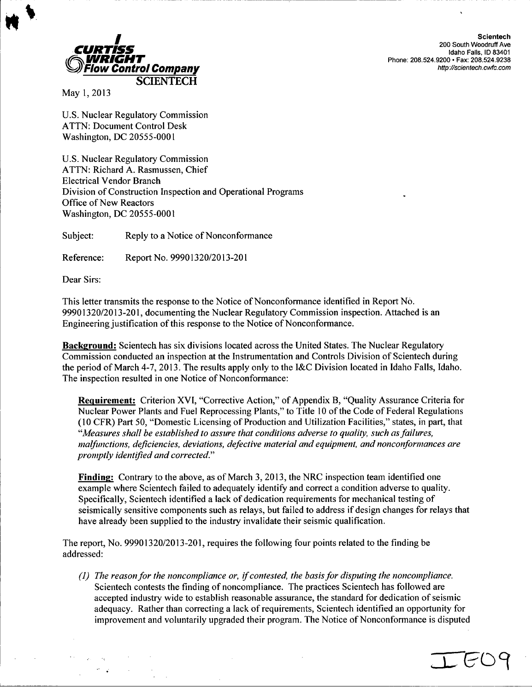

Scientech<br>200 South Woodruff Ave *WRIGHT"* Phone: **208.524.9200 -** Fax: **208.524.9238**

May 1, 2013

U.S. Nuclear Regulatory Commission ATTN: Document Control Desk Washington, DC 20555-0001

U.S. Nuclear Regulatory Commission ATTN: Richard A. Rasmussen, Chief Electrical Vendor Branch Division of Construction Inspection and Operational Programs Office of New Reactors Washington, DC 20555-0001

Subject: Reply to a Notice of Nonconformance

Reference: Report No. 99901320/2013-201

Dear Sirs:

This letter transmits the response to the Notice of Nonconformance identified in Report No. 99901320/2013-201, documenting the Nuclear Regulatory Commission inspection. Attached is an Engineering justification of this response to the Notice of Nonconformance.

Background: Scientech has six divisions located across the United States. The Nuclear Regulatory Commission conducted an inspection at the Instrumentation and Controls Division of Scientech during the period of March 4-7, 2013. The results apply only to the I&C Division located in Idaho Falls, Idaho. The inspection resulted in one Notice of Nonconformance:

Requirement: Criterion XVI, "Corrective Action," of Appendix B, "Quality Assurance Criteria for Nuclear Power Plants and Fuel Reprocessing Plants," to Title 10 of the Code of Federal Regulations (10 CFR) Part 50, "Domestic Licensing of Production and Utilization Facilities," states, in part, that *"Measures shall be established to assure that conditions adverse to quality, such as failures, malfunctions, deficiencies, deviations, defective material and equipment, and nonconforinances are promptly identified and corrected."*

Finding: Contrary to the above, as of March 3, 2013, the NRC inspection team identified one example where Scientech failed to adequately identify and correct a condition adverse to quality. Specifically, Scientech identified a lack of dedication requirements for mechanical testing of seismically sensitive components such as relays, but failed to address if design changes for relays that have already been supplied to the industry invalidate their seismic qualification.

The report, No. 99901320/2013-201, requires the following four points related to the finding be addressed:

*(1) The reason for the noncompliance or, if contested, the basis for disputing the noncompliance.* Scientech contests the finding of noncompliance. The practices Scientech has followed are accepted industry wide to establish reasonable assurance, the standard for dedication of seismic adequacy. Rather than correcting a lack of requirements, Scientech identified an opportunity for improvement and voluntarily upgraded their program. The Notice of Nonconformance is disputed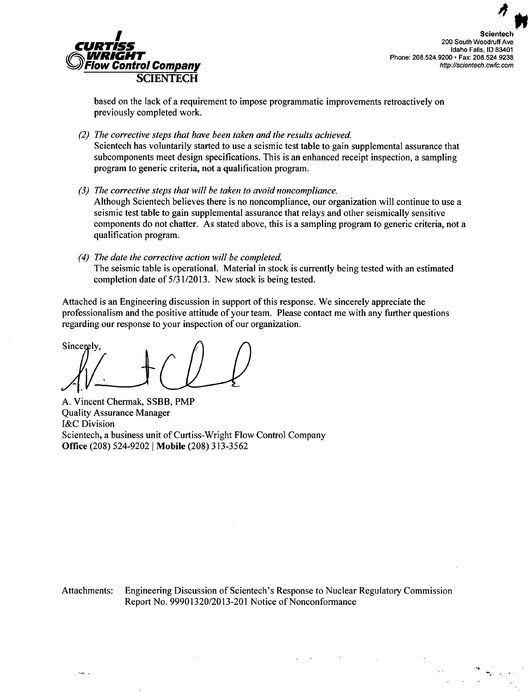

**Idaho Falls, ID 83401<br>Phone: 208.524.9200 • Fax: 208.524.9238<br>http://scientech.cwfc.com** 

based on the lack of a requirement to impose programmatic improvements retroactively on previously completed work.

- *(2) The corrective steps that have been taken and the results achieved.* Scientech has voluntarily started to use a seismic test table to gain supplemental assurance that subcomponents meet design specifications. This is an enhanced receipt inspection, a sampling program to generic criteria, not a qualification program.
- *(3) The corrective steps that will be taken to avoid noncompliance.* Although Scientech believes there is no noncompliance, our organization will continue to use a seismic test table to gain supplemental assurance that relays and other seismically sensitive components do not chatter. As stated above, this is a sampling program to generic criteria, not a qualification program.
- *(4) The date the corrective action will be completed.* The seismic table is operational. Material in stock is currently being tested with an estimated completion date of 5/31/2013. New stock is being tested.

Attached is an Engineering discussion in support of this response. We sincerely appreciate the professionalism and the positive attitude of your team. Please contact me with any further questions regarding our response to your inspection of our organization.

l/ **y,**

 $\sim$  .

**A.** Vincent Chermak, SSBB, PMP Quality Assurance Manager I&C Division Scientech, a business unit of Curtiss-Wright Flow Control Company Office (208) 524-9202 **I** Mobile (208) 313-3562

Attachments: Engineering Discussion of Scientech's Response to Nuclear Regulatory Commission Report No. 99901320/2013-201 Notice of Nonconformance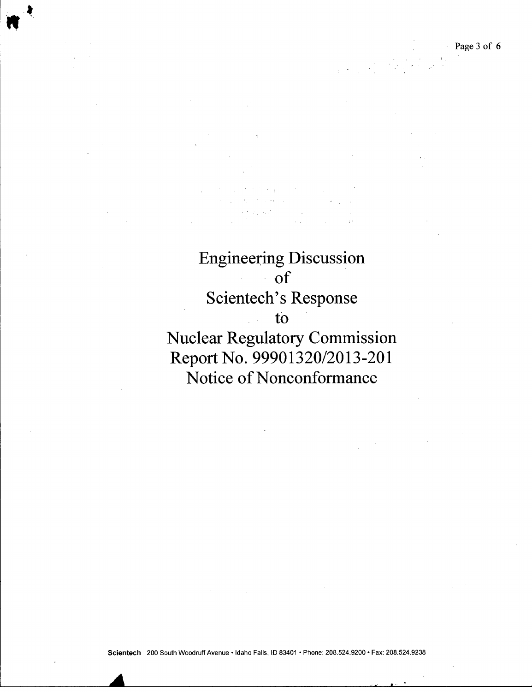Page **3** of 6

Engineering Discussion of Scientech's Response to Nuclear Regulatory Commission Report No. 99901320/2013-201

Notice of Nonconformance

Scientech 200 South Woodruff Avenue • Idaho Falls, ID 83401 • Phone: 208.524.9200 • Fax: 208.524.9238

*A*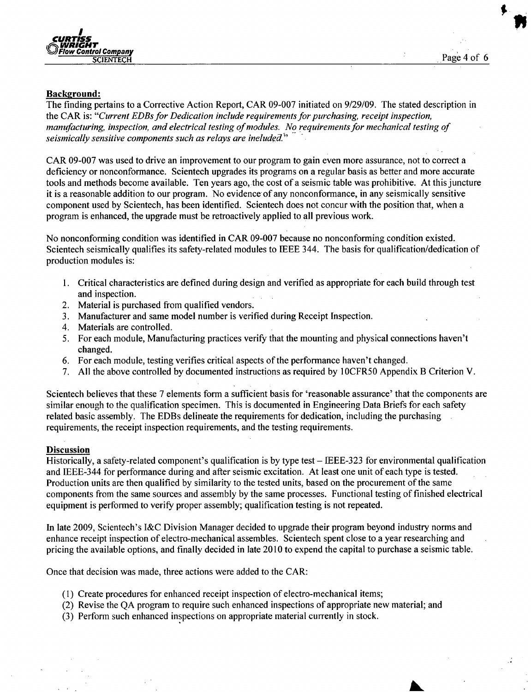

L

## Background:

The finding pertains to a Corrective Action Report, CAR 09-007 initiated on 9/29/09. The stated description in the CAR is: *"Current EDBs for Dedication include requirements for purchasing, receipt inspection, manufacturing, inspection, and electrical testing of modules. No requirements for mechanical testing of seismically sensitive components such as relays are ineluded."*

CAR 09-007 was used to drive an improvement to our program to gain even more assurance, not to correct a deficiency or nonconformance. Scientech upgrades its programs on a regular basis as better and more accurate tools and methods become available. Ten years ago, the cost of a seismic table was prohibitive. At this juncture it is a reasonable addition to our program. No evidence of any nonconformance, in any seismically sensitive component used by Scientech, has been identified. Scientech does not concur with the position that, when a program is enhanced, the upgrade must be retroactively applied to all previous work.

No nonconforming condition was identified in CAR 09-007 because no nonconforming condition existed. Scientech seismically qualifies its safety-related modules to IEEE 344. The basis for qualification/dedication of production modules is:

- 1. Critical characteristics are defined during design and verified as appropriate for each build through test and inspection.
- 2. Material is purchased from qualified vendors.
- 3. Manufacturer and same model number is verified during Receipt Inspection.
- 4. Materials are controlled.
- *5.* For each module, Manufacturing practices verify that the mounting and physical connections haven't changed.
- 6. For each module, testing verifies critical aspects of the performance haven't changed.
- 7. All the above controlled by documented instructions as required by 1 OCFR50 Appendix B Criterion V.

Scientech believes that these 7 elements form a sufficient basis for 'reasonable assurance' that the components are similar enough to the qualification specimen. This is documented in Engineering Data Briefs for each safety related basic assembly. The EDBs delineate the requirements for dedication, including the purchasing requirements, the receipt inspection requirements, and the testing requirements.

## **Discussion**

Historically, a safety-related component's qualification is by type test - IEEE-323 for environmental qualification and IEEE-344 for performance during and after seismic excitation. At least one unit of each type is tested. Production units are then qualified by similarity to the tested units, based on the procurement of the same components from the same sources and assembly by the same processes. Functional testing of finished electrical equipment is performed to verify proper assembly; qualification testing is not repeated.

In late 2009, Scientech's I&C Division Manager decided to upgrade their program beyond industry norms and enhance receipt inspection of electro-mechanical assembles. Scientech spent close to a year researching and pricing the available options, and finally decided in late 2010 to expend the capital to purchase a seismic table.

Once that decision was made, three actions were added to the CAR:

- **(1)** Create procedures for enhanced receipt inspection of electro-mechanical items;
- (2) Revise the QA program to require such enhanced inspections of appropriate new material; and
- (3) Perform such enhanced inspections on appropriate material currently in stock.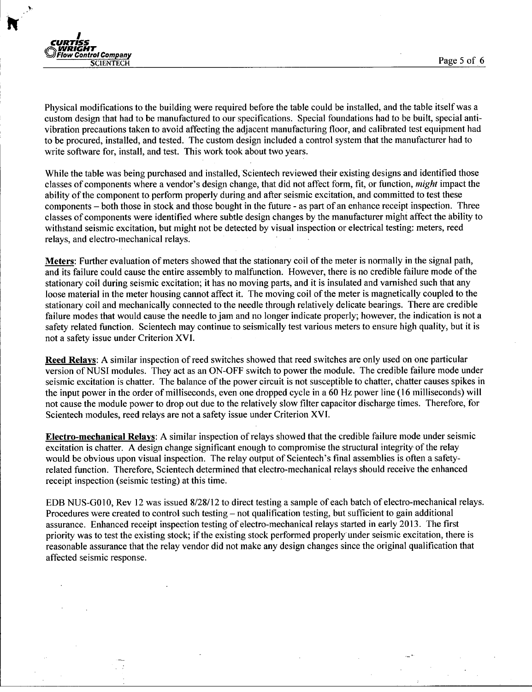



Physical modifications to the building were required before the table could be installed, and the table itself was a custom design that had to be manufactured to our specifications. Special foundations had to be built, special antivibration precautions taken to avoid affecting the adjacent manufacturing floor, and calibrated test equipment had to be procured, installed, and tested. The custom design included a control system that the manufacturer had to write software for, install, and test. This work took about two years.

While the table was being purchased and installed, Scientech reviewed their existing designs and identified those classes of components where a vendor's design change, that did not affect form, fit, or function, *might* impact the ability of the component to perform properly during and after seismic excitation, and committed to test these components - both those in stock and those bought in the future - as part of an enhance receipt inspection. Three classes of components were identified where subtle design changes by the manufacturer might affect the ability to withstand seismic excitation, but might not be detected by visual inspection or electrical testing: meters, reed relays, and electro-mechanical relays.

Meters: Further evaluation of meters showed that the stationary coil of the meter is nonrmally in the signal path, and its failure could cause the entire assembly to malfunction. However, there is no credible failure mode of the stationary coil during seismic excitation; it has no moving parts, and it is insulated and varnished such that any loose material in the meter housing cannot affect it. The moving coil of the meter is magnetically coupled to the stationary coil and mechanically connected to the needle through relatively delicate bearings. There are credible failure modes that would cause the needle to jam and no longer indicate properly; however, the indication is not a safety related function. Scientech may continue to seismically test various meters to ensure high quality, but it is not a safety issue under Criterion XVI.

Reed Relays: A similar inspection of reed switches showed that reed switches are only used on one particular version of NUSI modules. They act as an ON-OFF switch to power the module. The credible failure mode under seismic excitation is chatter. The balance of the power circuit is not susceptible to chatter, chatter causes spikes in the input power in the order of milliseconds, even one dropped cycle in a 60 Hz power line (16 milliseconds) will not cause the module power to drop out due to the relatively slow filter capacitor discharge times. Therefore, for Scientech modules, reed relays are not a safety issue under Criterion XVI.

Electro-mechanical Relays: A similar inspection of relays showed that the credible failure mode under seismic excitation is chatter. A design change significant enough to compromise the structural integrity of the relay would be obvious upon visual inspection. The relay output of Scientech's final assemblies is often a safetyrelated function. Therefore, Scientech determined that electro-mechanical relays should receive the enhanced receipt inspection (seismic testing) at this time.

EDB NUS-G010, Rev 12 was issued 8/28/12 to direct testing a sample of each batch of electro-mechanical relays. Procedures were created to control such testing – not qualification testing, but sufficient to gain additional assurance. Enhanced receipt inspection testing of electro-mechanical relays started in early 2013. The first priority was to test the existing stock; if the existing stock perfonned properly under seismic excitation, there is reasonable assurance that the relay vendor did not make any design changes since the original qualification that affected seismic response.